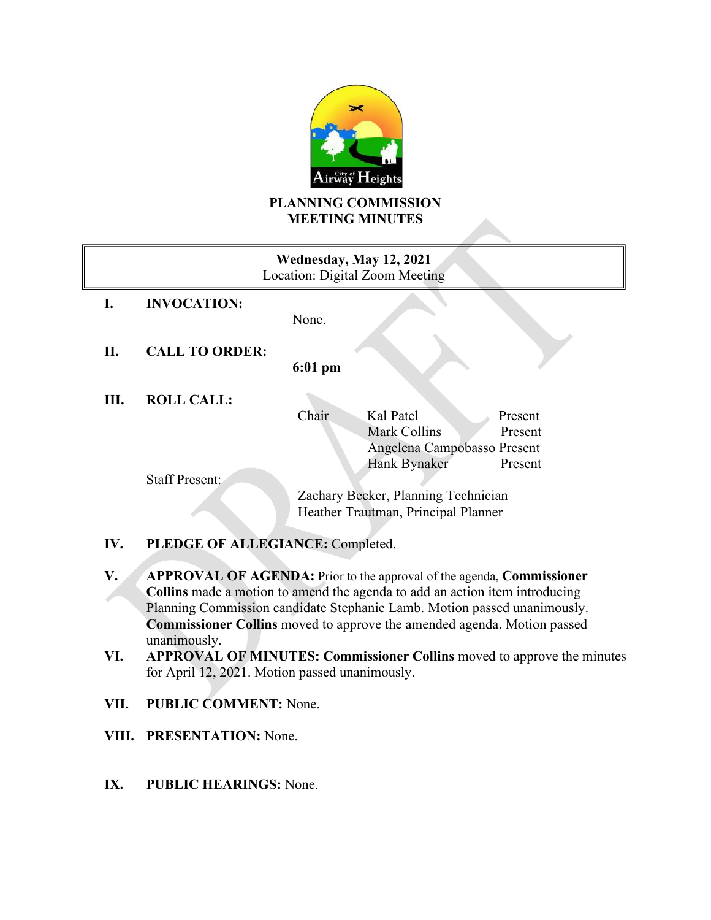

#### **PLANNING COMMISSION MEETING MINUTES**

| Wednesday, May 12, 2021<br>Location: Digital Zoom Meeting |                       |                                     |
|-----------------------------------------------------------|-----------------------|-------------------------------------|
| I.                                                        | <b>INVOCATION:</b>    |                                     |
|                                                           |                       | None.                               |
| П.                                                        | <b>CALL TO ORDER:</b> |                                     |
|                                                           |                       | $6:01$ pm                           |
| Ш.                                                        | <b>ROLL CALL:</b>     |                                     |
|                                                           |                       | Kal Patel<br>Chair<br>Present       |
|                                                           |                       | Mark Collins<br>Present             |
|                                                           |                       | Angelena Campobasso Present         |
|                                                           |                       | <b>Hank Bynaker</b><br>Present      |
|                                                           | <b>Staff Present:</b> |                                     |
|                                                           |                       | Zachary Becker, Planning Technician |
|                                                           |                       | Heather Trautman, Principal Planner |
|                                                           |                       |                                     |

# **IV. PLEDGE OF ALLEGIANCE:** Completed.

- **V. APPROVAL OF AGENDA:** Prior to the approval of the agenda, **Commissioner Collins** made a motion to amend the agenda to add an action item introducing Planning Commission candidate Stephanie Lamb. Motion passed unanimously. **Commissioner Collins** moved to approve the amended agenda. Motion passed unanimously.
- **VI. APPROVAL OF MINUTES: Commissioner Collins** moved to approve the minutes for April 12, 2021. Motion passed unanimously.
- **VII. PUBLIC COMMENT:** None.
- **VIII. PRESENTATION:** None.
- **IX. PUBLIC HEARINGS:** None.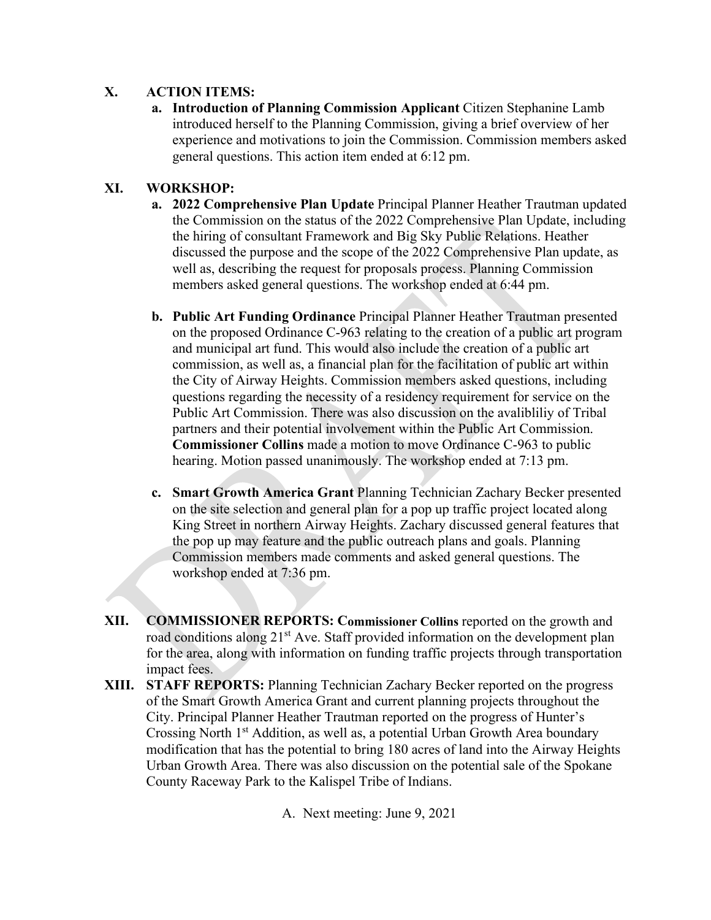#### **X. ACTION ITEMS:**

**a. Introduction of Planning Commission Applicant** Citizen Stephanine Lamb introduced herself to the Planning Commission, giving a brief overview of her experience and motivations to join the Commission. Commission members asked general questions. This action item ended at 6:12 pm.

### **XI. WORKSHOP:**

- **a. 2022 Comprehensive Plan Update** Principal Planner Heather Trautman updated the Commission on the status of the 2022 Comprehensive Plan Update, including the hiring of consultant Framework and Big Sky Public Relations. Heather discussed the purpose and the scope of the 2022 Comprehensive Plan update, as well as, describing the request for proposals process. Planning Commission members asked general questions. The workshop ended at 6:44 pm.
- **b. Public Art Funding Ordinance** Principal Planner Heather Trautman presented on the proposed Ordinance C-963 relating to the creation of a public art program and municipal art fund. This would also include the creation of a public art commission, as well as, a financial plan for the facilitation of public art within the City of Airway Heights. Commission members asked questions, including questions regarding the necessity of a residency requirement for service on the Public Art Commission. There was also discussion on the avalibliliy of Tribal partners and their potential involvement within the Public Art Commission. **Commissioner Collins** made a motion to move Ordinance C-963 to public hearing. Motion passed unanimously. The workshop ended at 7:13 pm.
- **c. Smart Growth America Grant** Planning Technician Zachary Becker presented on the site selection and general plan for a pop up traffic project located along King Street in northern Airway Heights. Zachary discussed general features that the pop up may feature and the public outreach plans and goals. Planning Commission members made comments and asked general questions. The workshop ended at 7:36 pm.
- **XII. COMMISSIONER REPORTS: Commissioner Collins** reported on the growth and road conditions along  $21<sup>st</sup>$  Ave. Staff provided information on the development plan for the area, along with information on funding traffic projects through transportation impact fees.
- **XIII. STAFF REPORTS:** Planning Technician Zachary Becker reported on the progress of the Smart Growth America Grant and current planning projects throughout the City. Principal Planner Heather Trautman reported on the progress of Hunter's Crossing North 1<sup>st</sup> Addition, as well as, a potential Urban Growth Area boundary modification that has the potential to bring 180 acres of land into the Airway Heights Urban Growth Area. There was also discussion on the potential sale of the Spokane County Raceway Park to the Kalispel Tribe of Indians.

A. Next meeting: June 9, 2021